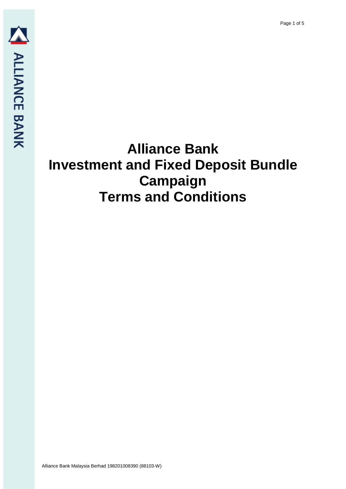Page 1 of 5

# **Alliance Bank Investment and Fixed Deposit Bundle Campaign Terms and Conditions**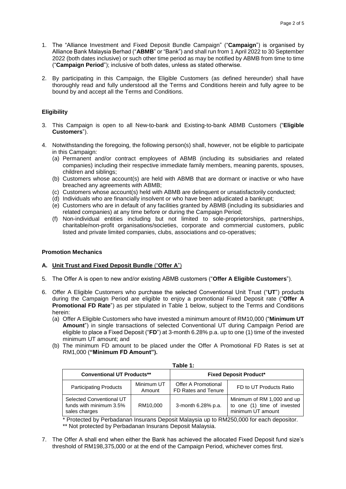- 1. The "Alliance Investment and Fixed Deposit Bundle Campaign" ("**Campaign**") is organised by Alliance Bank Malaysia Berhad ("**ABMB**" or "Bank") and shall run from 1 April 2022 to 30 September 2022 (both dates inclusive) or such other time period as may be notified by ABMB from time to time ("**Campaign Period**"); inclusive of both dates, unless as stated otherwise.
- 2. By participating in this Campaign, the Eligible Customers (as defined hereunder) shall have thoroughly read and fully understood all the Terms and Conditions herein and fully agree to be bound by and accept all the Terms and Conditions.

## **Eligibility**

- 3. This Campaign is open to all New-to-bank and Existing-to-bank ABMB Customers ("**Eligible Customers**").
- 4. Notwithstanding the foregoing, the following person(s) shall, however, not be eligible to participate in this Campaign:
	- (a) Permanent and/or contract employees of ABMB (including its subsidiaries and related companies) including their respective immediate family members, meaning parents, spouses, children and siblings;
	- (b) Customers whose account(s) are held with ABMB that are dormant or inactive or who have breached any agreements with ABMB;
	- (c) Customers whose account(s) held with ABMB are delinquent or unsatisfactorily conducted;
	- (d) Individuals who are financially insolvent or who have been adjudicated a bankrupt;
	- (e) Customers who are in default of any facilities granted by ABMB (including its subsidiaries and related companies) at any time before or during the Campaign Period;
	- (f) Non-individual entities including but not limited to sole-proprietorships, partnerships, charitable/non-profit organisations/societies, corporate and commercial customers, public listed and private limited companies, clubs, associations and co-operatives;

#### **Promotion Mechanics**

#### **A. Unit Trust and Fixed Deposit Bundle** ("**Offer A**")

- 5. The Offer A is open to new and/or existing ABMB customers ("**Offer A Eligible Customers**").
- 6. Offer A Eligible Customers who purchase the selected Conventional Unit Trust ("**UT**") products during the Campaign Period are eligible to enjoy a promotional Fixed Deposit rate ("**Offer A Promotional FD Rate**") as per stipulated in Table 1 below, subject to the Terms and Conditions herein:
	- (a) Offer A Eligible Customers who have invested a minimum amount of RM10,000 ("**Minimum UT Amount**") in single transactions of selected Conventional UT during Campaign Period are eligible to place a Fixed Deposit ("**FD**") at 3-month 6.28% p.a. up to one (1) time of the invested minimum UT amount; and
	- (b) The minimum FD amount to be placed under the Offer A Promotional FD Rates is set at RM1,000 (**"Minimum FD Amount").**

| rapie 1.                                                             |                      |                                            |                                                                                |  |  |
|----------------------------------------------------------------------|----------------------|--------------------------------------------|--------------------------------------------------------------------------------|--|--|
| <b>Conventional UT Products**</b>                                    |                      | <b>Fixed Deposit Product*</b>              |                                                                                |  |  |
| <b>Participating Products</b>                                        | Minimum UT<br>Amount | Offer A Promotional<br>FD Rates and Tenure | FD to UT Products Ratio                                                        |  |  |
| Selected Conventional UT<br>funds with minimum 3.5%<br>sales charges | RM10.000             | 3-month 6.28% p.a.                         | Minimum of RM 1,000 and up<br>to one (1) time of invested<br>minimum UT amount |  |  |

**Table 1:**

\* Protected by Perbadanan Insurans Deposit Malaysia up to RM250,000 for each depositor. \*\* Not protected by Perbadanan Insurans Deposit Malaysia.

7. The Offer A shall end when either the Bank has achieved the allocated Fixed Deposit fund size's threshold of RM198,375,000 or at the end of the Campaign Period, whichever comes first.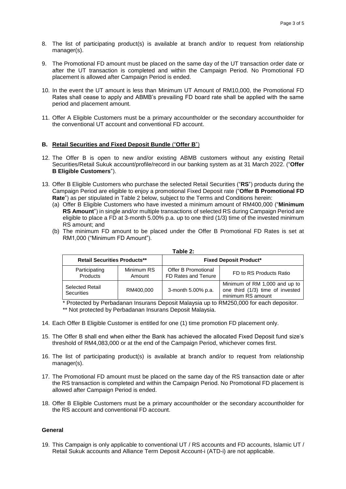- 8. The list of participating product(s) is available at branch and/or to request from relationship manager(s).
- 9. The Promotional FD amount must be placed on the same day of the UT transaction order date or after the UT transaction is completed and within the Campaign Period. No Promotional FD placement is allowed after Campaign Period is ended.
- 10. In the event the UT amount is less than Minimum UT Amount of RM10,000, the Promotional FD Rates shall cease to apply and ABMB's prevailing FD board rate shall be applied with the same period and placement amount.
- 11. Offer A Eligible Customers must be a primary accountholder or the secondary accountholder for the conventional UT account and conventional FD account.

### **B. Retail Securities and Fixed Deposit Bundle** ("**Offer B**")

- 12. The Offer B is open to new and/or existing ABMB customers without any existing Retail Securities/Retail Sukuk account/profile/record in our banking system as at 31 March 2022. ("**Offer B Eligible Customers**").
- 13. Offer B Eligible Customers who purchase the selected Retail Securities ("**RS**") products during the Campaign Period are eligible to enjoy a promotional Fixed Deposit rate ("**Offer B Promotional FD Rate**") as per stipulated in Table 2 below, subject to the Terms and Conditions herein:
	- (a) Offer B Eligible Customers who have invested a minimum amount of RM400,000 ("**Minimum RS Amount**") in single and/or multiple transactions of selected RS during Campaign Period are eligible to place a FD at 3-month 5.00% p.a. up to one third (1/3) time of the invested minimum RS amount; and
	- (b) The minimum FD amount to be placed under the Offer B Promotional FD Rates is set at RM1,000 ("Minimum FD Amount").

| <b>Retail Securities Products**</b>         |                      | <b>Fixed Deposit Product*</b>              |                                                                                        |  |
|---------------------------------------------|----------------------|--------------------------------------------|----------------------------------------------------------------------------------------|--|
| Participating<br><b>Products</b>            | Minimum RS<br>Amount | Offer B Promotional<br>FD Rates and Tenure | FD to RS Products Ratio                                                                |  |
| <b>Selected Retail</b><br><b>Securities</b> | RM400.000            | 3-month 5.00% p.a.                         | Minimum of RM 1,000 and up to<br>one third (1/3) time of invested<br>minimum RS amount |  |

#### **Table 2:**

\* Protected by Perbadanan Insurans Deposit Malaysia up to RM250,000 for each depositor.

\*\* Not protected by Perbadanan Insurans Deposit Malaysia.

- 14. Each Offer B Eligible Customer is entitled for one (1) time promotion FD placement only.
- 15. The Offer B shall end when either the Bank has achieved the allocated Fixed Deposit fund size's threshold of RM4,083,000 or at the end of the Campaign Period, whichever comes first.
- 16. The list of participating product(s) is available at branch and/or to request from relationship manager(s).
- 17. The Promotional FD amount must be placed on the same day of the RS transaction date or after the RS transaction is completed and within the Campaign Period. No Promotional FD placement is allowed after Campaign Period is ended.
- 18. Offer B Eligible Customers must be a primary accountholder or the secondary accountholder for the RS account and conventional FD account.

### **General**

19. This Campaign is only applicable to conventional UT / RS accounts and FD accounts, Islamic UT / Retail Sukuk accounts and Alliance Term Deposit Account-i (ATD-i) are not applicable.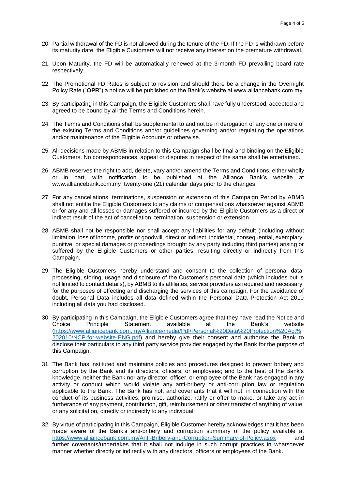- 20. Partial withdrawal of the FD is not allowed during the tenure of the FD. If the FD is withdrawn before its maturity date, the Eligible Customers will not receive any interest on the premature withdrawal.
- 21. Upon Maturity, the FD will be automatically renewed at the 3-month FD prevailing board rate respectively.
- 22. The Promotional FD Rates is subject to revision and should there be a change in the Overnight Policy Rate ("**OPR**") a notice will be published on the Bank's website at www.alliancebank.com.my.
- 23. By participating in this Campaign, the Eligible Customers shall have fully understood, accepted and agreed to be bound by all the Terms and Conditions herein.
- 24. The Terms and Conditions shall be supplemental to and not be in derogation of any one or more of the existing Terms and Conditions and/or guidelines governing and/or regulating the operations and/or maintenance of the Eligible Accounts or otherwise.
- 25. All decisions made by ABMB in relation to this Campaign shall be final and binding on the Eligible Customers. No correspondences, appeal or disputes in respect of the same shall be entertained.
- 26. ABMB reserves the right to add, delete, vary and/or amend the Terms and Conditions, either wholly or in part, with notification to be published at the Alliance Bank's website at www.alliancebank.com.my twenty-one (21) calendar days prior to the changes.
- 27. For any cancellations, terminations, suspension or extension of this Campaign Period by ABMB shall not entitle the Eligible Customers to any claims or compensations whatsoever against ABMB or for any and all losses or damages suffered or incurred by the Eligible Customers as a direct or indirect result of the act of cancellation, termination, suspension or extension.
- 28. ABMB shall not be responsible nor shall accept any liabilities for any default (including without limitation, loss of income, profits or goodwill, direct or indirect, incidental, consequential, exemplary, punitive, or special damages or proceedings brought by any party including third parties) arising or suffered by the Eligible Customers or other parties, resulting directly or indirectly from this Campaign.
- 29. The Eligible Customers hereby understand and consent to the collection of personal data, processing, storing, usage and disclosure of the Customer's personal data (which includes but is not limited to contact details), by ABMB to its affiliates, service providers as required and necessary, for the purposes of effecting and discharging the services of this campaign. For the avoidance of doubt, Personal Data includes all data defined within the Personal Data Protection Act 2010 including all data you had disclosed.
- 30. By participating in this Campaign, the Eligible Customers agree that they have read the Notice and Choice Principle Statement available at the Bank's website [\(https://www.alliancebank.com.my/Alliance/media/Pdf/Personal%20Data%20Protection%20Act%](https://www.alliancebank.com.my/Alliance/media/Pdf/Personal%20Data%20Protection%20Act%202010/NCP-for-website-ENG.pdf) [202010/NCP-for-website-ENG.pdf\)](https://www.alliancebank.com.my/Alliance/media/Pdf/Personal%20Data%20Protection%20Act%202010/NCP-for-website-ENG.pdf) and hereby give their consent and authorise the Bank to disclose their particulars to any third party service provider engaged by the Bank for the purpose of this Campaign.
- 31. The Bank has instituted and maintains policies and procedures designed to prevent bribery and corruption by the Bank and its directors, officers, or employees; and to the best of the Bank's knowledge, neither the Bank nor any director, officer, or employee of the Bank has engaged in any activity or conduct which would violate any anti-bribery or anti-corruption law or regulation applicable to the Bank. The Bank has not, and covenants that it will not, in connection with the conduct of its business activities, promise, authorize, ratify or offer to make, or take any act in furtherance of any payment, contribution, gift, reimbursement or other transfer of anything of value, or any solicitation, directly or indirectly to any individual.
- 32. By virtue of participating in this Campaign, Eligible Customer hereby acknowledges that it has been made aware of the Bank's anti-bribery and corruption summary of the policy available at <https://www.alliancebank.com.my/Anti-Bribery-and-Corruption-Summary-of-Policy.aspx>and further covenants/undertakes that it shall not indulge in such corrupt practices in whatsoever manner whether directly or indirectly with any directors, officers or employees of the Bank.